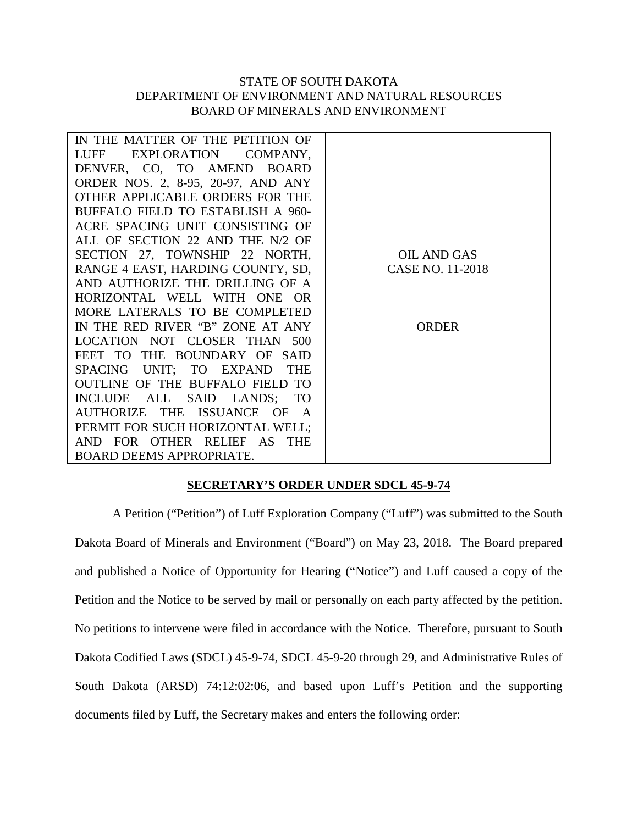## STATE OF SOUTH DAKOTA DEPARTMENT OF ENVIRONMENT AND NATURAL RESOURCES BOARD OF MINERALS AND ENVIRONMENT

| IN THE MATTER OF THE PETITION OF                       |                  |
|--------------------------------------------------------|------------------|
| LUFF<br>EXPLORATION<br>COMPANY,                        |                  |
| DENVER, CO, TO AMEND<br><b>BOARD</b>                   |                  |
| ORDER NOS. 2, 8-95, 20-97, AND ANY                     |                  |
| OTHER APPLICABLE ORDERS FOR THE                        |                  |
| BUFFALO FIELD TO ESTABLISH A 960-                      |                  |
| ACRE SPACING UNIT CONSISTING OF                        |                  |
| ALL OF SECTION 22 AND THE N/2 OF                       |                  |
| SECTION 27, TOWNSHIP 22 NORTH,                         | OIL AND GAS      |
| RANGE 4 EAST, HARDING COUNTY, SD,                      | CASE NO. 11-2018 |
| AND AUTHORIZE THE DRILLING OF A                        |                  |
| HORIZONTAL WELL<br>WITH ONE<br>- OR                    |                  |
| MORE LATERALS TO BE COMPLETED                          |                  |
| IN THE RED RIVER "B" ZONE AT ANY                       | ORDER            |
| LOCATION NOT CLOSER THAN 500                           |                  |
| FEET TO THE BOUNDARY OF SAID                           |                  |
| UNIT; TO EXPAND<br><b>THE</b><br><b>SPACING</b>        |                  |
| <b>OUTLINE OF THE BUFFALO FIELD</b><br>TO <sub>1</sub> |                  |
| <b>INCLUDE</b><br>ALL SAID LANDS;<br><b>TO</b>         |                  |
| AUTHORIZE<br>THE ISSUANCE OF<br>$\overline{A}$         |                  |
| PERMIT FOR SUCH HORIZONTAL WELL;                       |                  |
| AND FOR OTHER RELIEF AS THE                            |                  |
| <b>BOARD DEEMS APPROPRIATE.</b>                        |                  |

## **SECRETARY'S ORDER UNDER SDCL 45-9-74**

A Petition ("Petition") of Luff Exploration Company ("Luff") was submitted to the South Dakota Board of Minerals and Environment ("Board") on May 23, 2018. The Board prepared and published a Notice of Opportunity for Hearing ("Notice") and Luff caused a copy of the Petition and the Notice to be served by mail or personally on each party affected by the petition. No petitions to intervene were filed in accordance with the Notice. Therefore, pursuant to South Dakota Codified Laws (SDCL) 45-9-74, SDCL 45-9-20 through 29, and Administrative Rules of South Dakota (ARSD) 74:12:02:06, and based upon Luff's Petition and the supporting documents filed by Luff, the Secretary makes and enters the following order: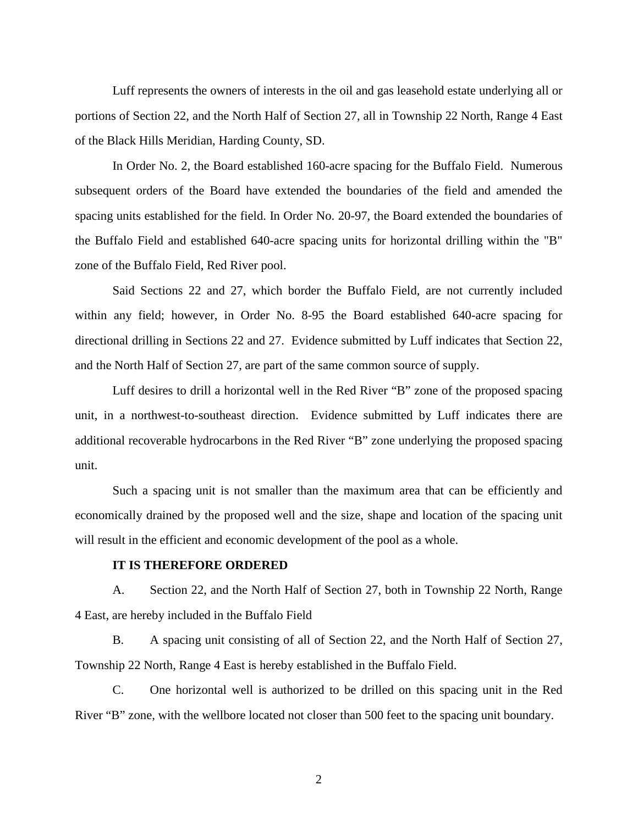Luff represents the owners of interests in the oil and gas leasehold estate underlying all or portions of Section 22, and the North Half of Section 27, all in Township 22 North, Range 4 East of the Black Hills Meridian, Harding County, SD.

In Order No. 2, the Board established 160-acre spacing for the Buffalo Field. Numerous subsequent orders of the Board have extended the boundaries of the field and amended the spacing units established for the field. In Order No. 20-97, the Board extended the boundaries of the Buffalo Field and established 640-acre spacing units for horizontal drilling within the "B" zone of the Buffalo Field, Red River pool.

Said Sections 22 and 27, which border the Buffalo Field, are not currently included within any field; however, in Order No. 8-95 the Board established 640-acre spacing for directional drilling in Sections 22 and 27. Evidence submitted by Luff indicates that Section 22, and the North Half of Section 27, are part of the same common source of supply.

Luff desires to drill a horizontal well in the Red River "B" zone of the proposed spacing unit, in a northwest-to-southeast direction. Evidence submitted by Luff indicates there are additional recoverable hydrocarbons in the Red River "B" zone underlying the proposed spacing unit.

Such a spacing unit is not smaller than the maximum area that can be efficiently and economically drained by the proposed well and the size, shape and location of the spacing unit will result in the efficient and economic development of the pool as a whole.

## **IT IS THEREFORE ORDERED**

A. Section 22, and the North Half of Section 27, both in Township 22 North, Range 4 East, are hereby included in the Buffalo Field

B. A spacing unit consisting of all of Section 22, and the North Half of Section 27, Township 22 North, Range 4 East is hereby established in the Buffalo Field.

C. One horizontal well is authorized to be drilled on this spacing unit in the Red River "B" zone, with the wellbore located not closer than 500 feet to the spacing unit boundary.

2